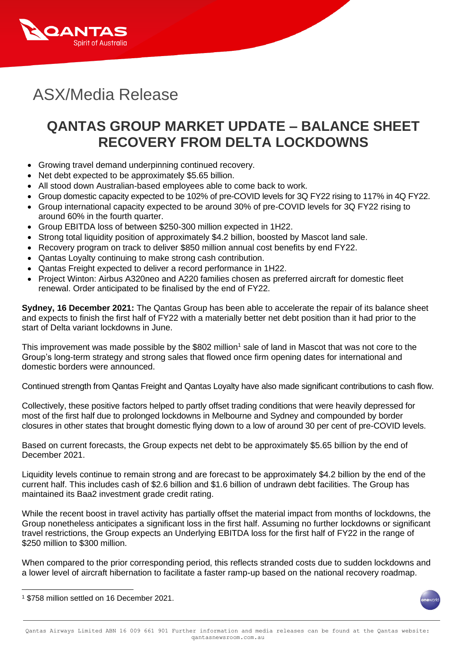

# ASX/Media Release

# **QANTAS GROUP MARKET UPDATE – BALANCE SHEET RECOVERY FROM DELTA LOCKDOWNS**

- Growing travel demand underpinning continued recovery.
- Net debt expected to be approximately \$5.65 billion.
- All stood down Australian-based employees able to come back to work.
- Group domestic capacity expected to be 102% of pre-COVID levels for 3Q FY22 rising to 117% in 4Q FY22.
- Group international capacity expected to be around 30% of pre-COVID levels for 3Q FY22 rising to around 60% in the fourth quarter.
- Group EBITDA loss of between \$250-300 million expected in 1H22.
- Strong total liquidity position of approximately \$4.2 billion, boosted by Mascot land sale.
- Recovery program on track to deliver \$850 million annual cost benefits by end FY22.
- Qantas Loyalty continuing to make strong cash contribution.
- Qantas Freight expected to deliver a record performance in 1H22.
- Project Winton: Airbus A320neo and A220 families chosen as preferred aircraft for domestic fleet renewal. Order anticipated to be finalised by the end of FY22.

**Sydney, 16 December 2021:** The Qantas Group has been able to accelerate the repair of its balance sheet and expects to finish the first half of FY22 with a materially better net debt position than it had prior to the start of Delta variant lockdowns in June.

This improvement was made possible by the \$802 million<sup>1</sup> sale of land in Mascot that was not core to the Group's long-term strategy and strong sales that flowed once firm opening dates for international and domestic borders were announced.

Continued strength from Qantas Freight and Qantas Loyalty have also made significant contributions to cash flow.

Collectively, these positive factors helped to partly offset trading conditions that were heavily depressed for most of the first half due to prolonged lockdowns in Melbourne and Sydney and compounded by border closures in other states that brought domestic flying down to a low of around 30 per cent of pre-COVID levels.

Based on current forecasts, the Group expects net debt to be approximately \$5.65 billion by the end of December 2021.

Liquidity levels continue to remain strong and are forecast to be approximately \$4.2 billion by the end of the current half. This includes cash of \$2.6 billion and \$1.6 billion of undrawn debt facilities. The Group has maintained its Baa2 investment grade credit rating.

While the recent boost in travel activity has partially offset the material impact from months of lockdowns, the Group nonetheless anticipates a significant loss in the first half. Assuming no further lockdowns or significant travel restrictions, the Group expects an Underlying EBITDA loss for the first half of FY22 in the range of \$250 million to \$300 million.

When compared to the prior corresponding period, this reflects stranded costs due to sudden lockdowns and a lower level of aircraft hibernation to facilitate a faster ramp-up based on the national recovery roadmap.

<sup>1</sup> \$758 million settled on 16 December 2021.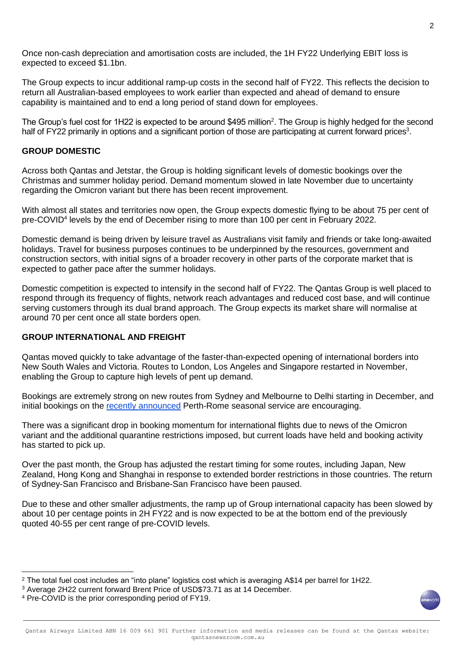Once non-cash depreciation and amortisation costs are included, the 1H FY22 Underlying EBIT loss is expected to exceed \$1.1bn.

The Group expects to incur additional ramp-up costs in the second half of FY22. This reflects the decision to return all Australian-based employees to work earlier than expected and ahead of demand to ensure capability is maintained and to end a long period of stand down for employees.

The Group's fuel cost for 1H22 is expected to be around \$495 million<sup>2</sup>. The Group is highly hedged for the second half of FY22 primarily in options and a significant portion of those are participating at current forward prices<sup>3</sup>.

### **GROUP DOMESTIC**

Across both Qantas and Jetstar, the Group is holding significant levels of domestic bookings over the Christmas and summer holiday period. Demand momentum slowed in late November due to uncertainty regarding the Omicron variant but there has been recent improvement.

With almost all states and territories now open, the Group expects domestic flying to be about 75 per cent of pre-COVID<sup>4</sup> levels by the end of December rising to more than 100 per cent in February 2022.

Domestic demand is being driven by leisure travel as Australians visit family and friends or take long-awaited holidays. Travel for business purposes continues to be underpinned by the resources, government and construction sectors, with initial signs of a broader recovery in other parts of the corporate market that is expected to gather pace after the summer holidays.

Domestic competition is expected to intensify in the second half of FY22. The Qantas Group is well placed to respond through its frequency of flights, network reach advantages and reduced cost base, and will continue serving customers through its dual brand approach. The Group expects its market share will normalise at around 70 per cent once all state borders open.

# **GROUP INTERNATIONAL AND FREIGHT**

Qantas moved quickly to take advantage of the faster-than-expected opening of international borders into New South Wales and Victoria. Routes to London, Los Angeles and Singapore restarted in November, enabling the Group to capture high levels of pent up demand.

Bookings are extremely strong on new routes from Sydney and Melbourne to Delhi starting in December, and initial bookings on the [recently announced](https://www.qantasnewsroom.com.au/media-releases/qantas-says-buongiorno-with-direct-flights-from-australia-to-italy/) Perth-Rome seasonal service are encouraging.

There was a significant drop in booking momentum for international flights due to news of the Omicron variant and the additional quarantine restrictions imposed, but current loads have held and booking activity has started to pick up.

Over the past month, the Group has adjusted the restart timing for some routes, including Japan, New Zealand, Hong Kong and Shanghai in response to extended border restrictions in those countries. The return of Sydney-San Francisco and Brisbane-San Francisco have been paused.

Due to these and other smaller adjustments, the ramp up of Group international capacity has been slowed by about 10 per centage points in 2H FY22 and is now expected to be at the bottom end of the previously quoted 40-55 per cent range of pre-COVID levels.

<sup>&</sup>lt;sup>2</sup> The total fuel cost includes an "into plane" logistics cost which is averaging A\$14 per barrel for 1H22.

<sup>3</sup> Average 2H22 current forward Brent Price of USD\$73.71 as at 14 December.

<sup>4</sup> Pre-COVID is the prior corresponding period of FY19.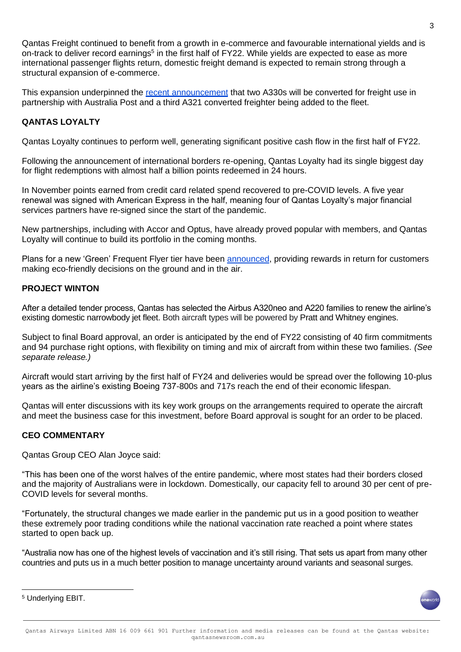Qantas Freight continued to benefit from a growth in e-commerce and favourable international yields and is on-track to deliver record earnings<sup>5</sup> in the first half of FY22. While yields are expected to ease as more international passenger flights return, domestic freight demand is expected to remain strong through a structural expansion of e-commerce.

This expansion underpinned the [recent announcement](https://www.qantasnewsroom.com.au/media-releases/qantas-announces-two-widebody-freighters-to-meet-permanent-increase-in-e-commerce-demand/) that two A330s will be converted for freight use in partnership with Australia Post and a third A321 converted freighter being added to the fleet.

### **QANTAS LOYALTY**

Qantas Loyalty continues to perform well, generating significant positive cash flow in the first half of FY22.

Following the announcement of international borders re-opening, Qantas Loyalty had its single biggest day for flight redemptions with almost half a billion points redeemed in 24 hours.

In November points earned from credit card related spend recovered to pre-COVID levels. A five year renewal was signed with American Express in the half, meaning four of Qantas Loyalty's major financial services partners have re-signed since the start of the pandemic.

New partnerships, including with Accor and Optus, have already proved popular with members, and Qantas Loyalty will continue to build its portfolio in the coming months.

Plans for a new 'Green' Frequent Flyer tier have been [announced,](https://www.qantasnewsroom.com.au/media-releases/qantas-frequent-flyers-to-be-rewarded-for-being-sustainable/) providing rewards in return for customers making eco-friendly decisions on the ground and in the air.

### **PROJECT WINTON**

After a detailed tender process, Qantas has selected the Airbus A320neo and A220 families to renew the airline's existing domestic narrowbody jet fleet. Both aircraft types will be powered by Pratt and Whitney engines.

Subject to final Board approval, an order is anticipated by the end of FY22 consisting of 40 firm commitments and 94 purchase right options, with flexibility on timing and mix of aircraft from within these two families. *(See separate release.)*

Aircraft would start arriving by the first half of FY24 and deliveries would be spread over the following 10-plus years as the airline's existing Boeing 737-800s and 717s reach the end of their economic lifespan.

Qantas will enter discussions with its key work groups on the arrangements required to operate the aircraft and meet the business case for this investment, before Board approval is sought for an order to be placed.

#### **CEO COMMENTARY**

Qantas Group CEO Alan Joyce said:

"This has been one of the worst halves of the entire pandemic, where most states had their borders closed and the majority of Australians were in lockdown. Domestically, our capacity fell to around 30 per cent of pre-COVID levels for several months.

"Fortunately, the structural changes we made earlier in the pandemic put us in a good position to weather these extremely poor trading conditions while the national vaccination rate reached a point where states started to open back up.

"Australia now has one of the highest levels of vaccination and it's still rising. That sets us apart from many other countries and puts us in a much better position to manage uncertainty around variants and seasonal surges.

<sup>5</sup> Underlying EBIT.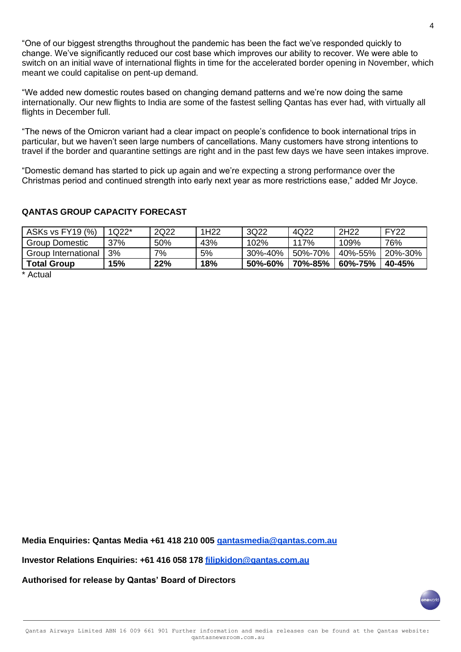"One of our biggest strengths throughout the pandemic has been the fact we've responded quickly to change. We've significantly reduced our cost base which improves our ability to recover. We were able to switch on an initial wave of international flights in time for the accelerated border opening in November, which meant we could capitalise on pent-up demand.

"We added new domestic routes based on changing demand patterns and we're now doing the same internationally. Our new flights to India are some of the fastest selling Qantas has ever had, with virtually all flights in December full.

"The news of the Omicron variant had a clear impact on people's confidence to book international trips in particular, but we haven't seen large numbers of cancellations. Many customers have strong intentions to travel if the border and quarantine settings are right and in the past few days we have seen intakes improve.

"Domestic demand has started to pick up again and we're expecting a strong performance over the Christmas period and continued strength into early next year as more restrictions ease," added Mr Joyce.

# **QANTAS GROUP CAPACITY FORECAST**

| 1Q22* | 2Q22 | 1H <sub>22</sub> | 3Q22    | 4Q22    | 2H <sub>22</sub> | <b>FY22</b> |
|-------|------|------------------|---------|---------|------------------|-------------|
| 37%   | 50%  | 43%              | 102%    | 117%    | 109%             | 76%         |
| 3%    | 7%   | 5%               | 30%-40% | 50%-70% | 40%-55%          | 20%-30%     |
| 15%   | 22%  | 18%              | 50%-60% | 70%-85% | 60%-75%          | 40-45%      |
|       |      |                  |         |         |                  |             |

\* Actual

**Media Enquiries: Qantas Media +61 418 210 005 [qantasmedia@qantas.com.au](mailto:qantasmedia@qantas.com.au)**

**Investor Relations Enquiries: +61 416 058 178 [filipkidon@qantas.com.au](mailto:filipkidon@qantas.com.au)**

**Authorised for release by Qantas' Board of Directors**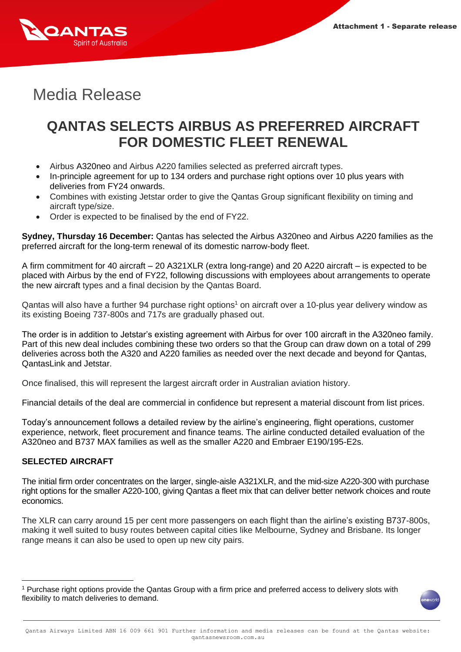

# Media Release

# **QANTAS SELECTS AIRBUS AS PREFERRED AIRCRAFT FOR DOMESTIC FLEET RENEWAL**

- Airbus A320neo and Airbus A220 families selected as preferred aircraft types.
- In-principle agreement for up to 134 orders and purchase right options over 10 plus years with deliveries from FY24 onwards.
- Combines with existing Jetstar order to give the Qantas Group significant flexibility on timing and aircraft type/size.
- Order is expected to be finalised by the end of FY22.

**Sydney, Thursday 16 December:** Qantas has selected the Airbus A320neo and Airbus A220 families as the preferred aircraft for the long-term renewal of its domestic narrow-body fleet.

A firm commitment for 40 aircraft – 20 A321XLR (extra long-range) and 20 A220 aircraft – is expected to be placed with Airbus by the end of FY22, following discussions with employees about arrangements to operate the new aircraft types and a final decision by the Qantas Board.

Qantas will also have a further 94 purchase right options<sup>1</sup> on aircraft over a 10-plus year delivery window as its existing Boeing 737-800s and 717s are gradually phased out.

The order is in addition to Jetstar's existing agreement with Airbus for over 100 aircraft in the A320neo family. Part of this new deal includes combining these two orders so that the Group can draw down on a total of 299 deliveries across both the A320 and A220 families as needed over the next decade and beyond for Qantas, QantasLink and Jetstar.

Once finalised, this will represent the largest aircraft order in Australian aviation history.

Financial details of the deal are commercial in confidence but represent a material discount from list prices.

Today's announcement follows a detailed review by the airline's engineering, flight operations, customer experience, network, fleet procurement and finance teams. The airline conducted detailed evaluation of the A320neo and B737 MAX families as well as the smaller A220 and Embraer E190/195-E2s.

# **SELECTED AIRCRAFT**

The initial firm order concentrates on the larger, single-aisle A321XLR, and the mid-size A220-300 with purchase right options for the smaller A220-100, giving Qantas a fleet mix that can deliver better network choices and route economics.

The XLR can carry around 15 per cent more passengers on each flight than the airline's existing B737-800s, making it well suited to busy routes between capital cities like Melbourne, Sydney and Brisbane. Its longer range means it can also be used to open up new city pairs.

<sup>1</sup> Purchase right options provide the Qantas Group with a firm price and preferred access to delivery slots with flexibility to match deliveries to demand.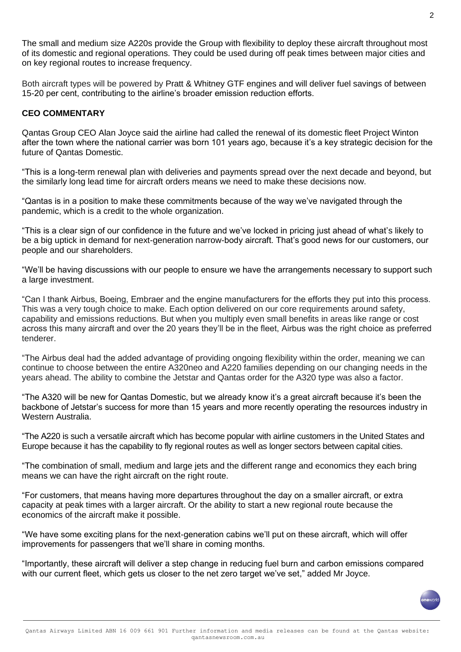The small and medium size A220s provide the Group with flexibility to deploy these aircraft throughout most of its domestic and regional operations. They could be used during off peak times between major cities and on key regional routes to increase frequency.

Both aircraft types will be powered by Pratt & Whitney GTF engines and will deliver fuel savings of between 15-20 per cent, contributing to the airline's broader emission reduction efforts.

#### **CEO COMMENTARY**

Qantas Group CEO Alan Joyce said the airline had called the renewal of its domestic fleet Project Winton after the town where the national carrier was born 101 years ago, because it's a key strategic decision for the future of Qantas Domestic.

"This is a long-term renewal plan with deliveries and payments spread over the next decade and beyond, but the similarly long lead time for aircraft orders means we need to make these decisions now.

"Qantas is in a position to make these commitments because of the way we've navigated through the pandemic, which is a credit to the whole organization.

"This is a clear sign of our confidence in the future and we've locked in pricing just ahead of what's likely to be a big uptick in demand for next-generation narrow-body aircraft. That's good news for our customers, our people and our shareholders.

"We'll be having discussions with our people to ensure we have the arrangements necessary to support such a large investment.

"Can I thank Airbus, Boeing, Embraer and the engine manufacturers for the efforts they put into this process. This was a very tough choice to make. Each option delivered on our core requirements around safety, capability and emissions reductions. But when you multiply even small benefits in areas like range or cost across this many aircraft and over the 20 years they'll be in the fleet, Airbus was the right choice as preferred tenderer.

"The Airbus deal had the added advantage of providing ongoing flexibility within the order, meaning we can continue to choose between the entire A320neo and A220 families depending on our changing needs in the years ahead. The ability to combine the Jetstar and Qantas order for the A320 type was also a factor.

"The A320 will be new for Qantas Domestic, but we already know it's a great aircraft because it's been the backbone of Jetstar's success for more than 15 years and more recently operating the resources industry in Western Australia.

"The A220 is such a versatile aircraft which has become popular with airline customers in the United States and Europe because it has the capability to fly regional routes as well as longer sectors between capital cities.

"The combination of small, medium and large jets and the different range and economics they each bring means we can have the right aircraft on the right route.

"For customers, that means having more departures throughout the day on a smaller aircraft, or extra capacity at peak times with a larger aircraft. Or the ability to start a new regional route because the economics of the aircraft make it possible.

"We have some exciting plans for the next-generation cabins we'll put on these aircraft, which will offer improvements for passengers that we'll share in coming months.

"Importantly, these aircraft will deliver a step change in reducing fuel burn and carbon emissions compared with our current fleet, which gets us closer to the net zero target we've set," added Mr Joyce.